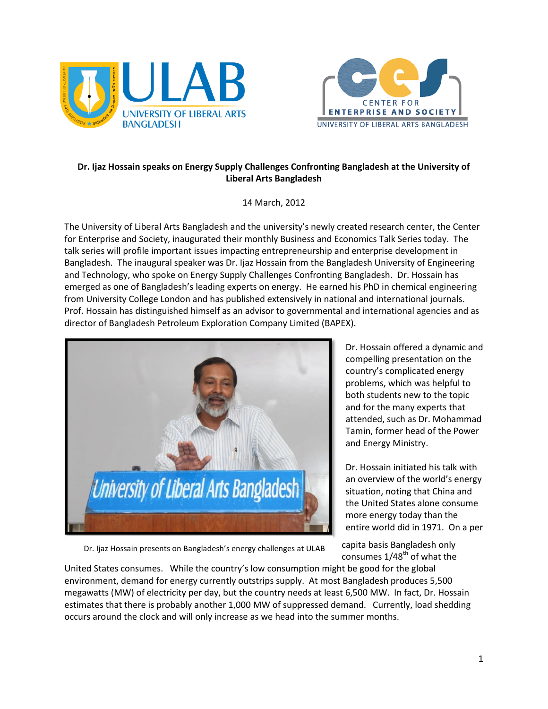



## **Dr. Ijaz Hossain speaks on Energy Supply Challenges Confronting Bangladesh at the University of Liberal Arts Bangladesh**

14 March, 2012

The University of Liberal Arts Bangladesh and the university's newly created research center, the Center for Enterprise and Society, inaugurated their monthly Business and Economics Talk Series today. The talk series will profile important issues impacting entrepreneurship and enterprise development in Bangladesh. The inaugural speaker was Dr. Ijaz Hossain from the Bangladesh University of Engineering and Technology, who spoke on Energy Supply Challenges Confronting Bangladesh. Dr. Hossain has emerged as one of Bangladesh's leading experts on energy. He earned his PhD in chemical engineering from University College London and has published extensively in national and international journals. Prof. Hossain has distinguished himself as an advisor to governmental and international agencies and as director of Bangladesh Petroleum Exploration Company Limited (BAPEX).



Dr. Ijaz Hossain presents on Bangladesh's energy challenges at ULAB

Dr. Hossain offered a dynamic and compelling presentation on the country's complicated energy problems, which was helpful to both students new to the topic and for the many experts that attended, such as Dr. Mohammad Tamin, former head of the Power and Energy Ministry.

Dr. Hossain initiated his talk with an overview of the world's energy situation, noting that China and the United States alone consume more energy today than the entire world did in 1971. On a per

capita basis Bangladesh only consumes  $1/48^{th}$  of what the

environment, demand for energy currently outstrips supply. At most Bangladesh produces 5,500 environment, demand for energy currently outstrips supply. At most Bangladesh produces 5,500 United States consumes. While the country's low consumption might be good for the global megawatts (MW) of electricity per day, but the country needs at least 6,500 MW. In fact, Dr. Hossain estimates that there is probably another 1,000 MW of suppressed demand. Currently, load shedding occurs around the clock and will only increase as we head into the summer months.